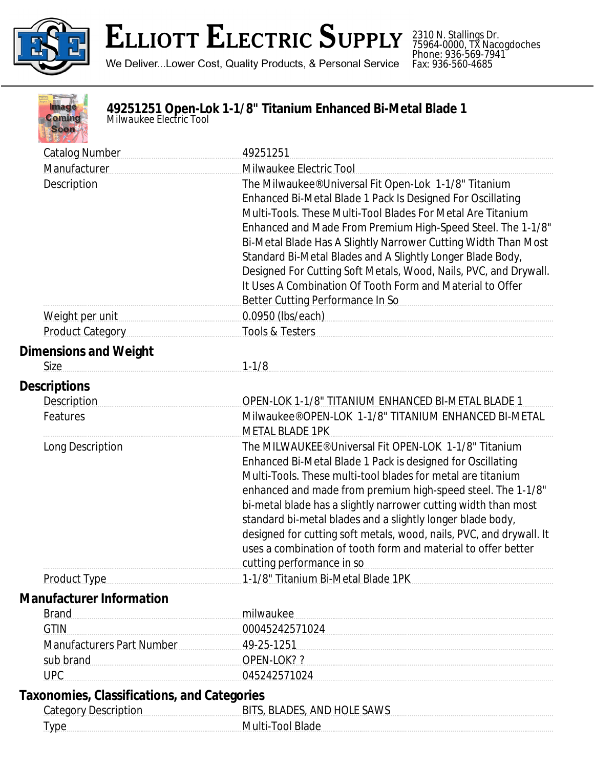

## ELLIOTT ELECTRIC SUPPLY

We Deliver...Lower Cost, Quality Products, & Personal Service

2310 N. Stallings Dr. 75964-0000, TX Nacogdoches Phone: 936-569-7941 Fax: 936-560-4685



**49251251 Open-Lok 1-1/8" Titanium Enhanced Bi-Metal Blade 1** *Milwaukee Electric Tool*

| <b>Catalog Number</b>                       | 49251251                                                                                                                       |
|---------------------------------------------|--------------------------------------------------------------------------------------------------------------------------------|
| Manufacturer                                | Milwaukee Electric Tool                                                                                                        |
| Description                                 | The Milwaukee® Universal Fit Open-Lok 1-1/8" Titanium                                                                          |
|                                             | Enhanced Bi-Metal Blade 1 Pack Is Designed For Oscillating                                                                     |
|                                             | Multi-Tools. These Multi-Tool Blades For Metal Are Titanium                                                                    |
|                                             | Enhanced and Made From Premium High-Speed Steel. The 1-1/8"                                                                    |
|                                             | Bi-Metal Blade Has A Slightly Narrower Cutting Width Than Most                                                                 |
|                                             | Standard Bi-Metal Blades and A Slightly Longer Blade Body,<br>Designed For Cutting Soft Metals, Wood, Nails, PVC, and Drywall. |
|                                             | It Uses A Combination Of Tooth Form and Material to Offer                                                                      |
|                                             | Better Cutting Performance In So                                                                                               |
| Weight per unit                             | 0.0950 (lbs/each)                                                                                                              |
| <b>Product Category</b>                     | Tools & Testers                                                                                                                |
| <b>Dimensions and Weight</b>                |                                                                                                                                |
| Size                                        | $1 - 1/8$                                                                                                                      |
| <b>Descriptions</b>                         |                                                                                                                                |
| <b>Description</b>                          | OPEN-LOK 1-1/8" TITANIUM ENHANCED BI-METAL BLADE 1                                                                             |
| Features                                    | Milwaukee® OPEN-LOK 1-1/8" TITANIUM ENHANCED BI-METAL                                                                          |
|                                             | <b>METAL BLADE 1PK</b>                                                                                                         |
| Long Description                            | The MILWAUKEE® Universal Fit OPEN-LOK 1-1/8" Titanium                                                                          |
|                                             | Enhanced Bi-Metal Blade 1 Pack is designed for Oscillating                                                                     |
|                                             | Multi-Tools. These multi-tool blades for metal are titanium                                                                    |
|                                             | enhanced and made from premium high-speed steel. The 1-1/8"                                                                    |
|                                             | bi-metal blade has a slightly narrower cutting width than most<br>standard bi-metal blades and a slightly longer blade body,   |
|                                             | designed for cutting soft metals, wood, nails, PVC, and drywall. It                                                            |
|                                             | uses a combination of tooth form and material to offer better                                                                  |
|                                             | cutting performance in so                                                                                                      |
|                                             | Product Type <b>Manufation</b> 1-1/8" Titanium Bi-Metal Blade 1PK                                                              |
| <b>Manufacturer Information</b>             |                                                                                                                                |
| <b>Brand</b>                                | milwaukee                                                                                                                      |
| <b>GTIN</b>                                 | 00045242571024                                                                                                                 |
| Manufacturers Part Number 49-25-1251        |                                                                                                                                |
| sub brand<br>OPEN-LOK??                     |                                                                                                                                |
| <b>UPC</b>                                  | 045242571024                                                                                                                   |
| Taxonomies, Classifications, and Categories |                                                                                                                                |
| <b>Category Description</b>                 | BITS, BLADES, AND HOLE SAWS                                                                                                    |
| Type Multi-Tool Blade                       |                                                                                                                                |